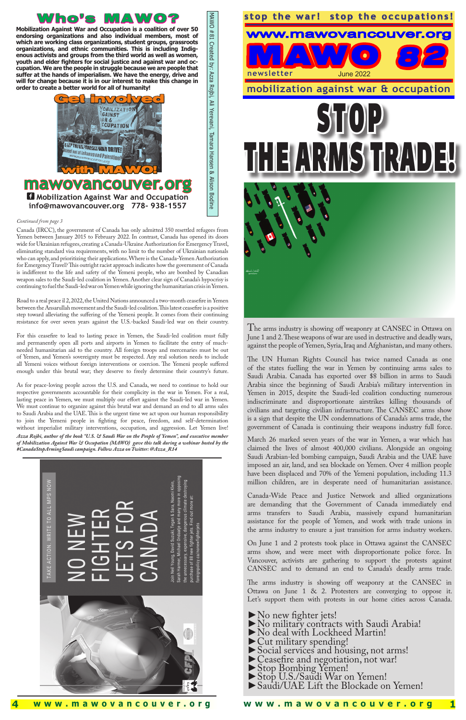I **Mobilization Against War and Occupation info@mawovancouver.org 778- 938-1557**







**Mobilization Against War and Occupation is a coalition of over 50 endorsing organizations and also individual members, most of which are working class organizations, student groups, grassroots organizations, and ethnic communities. This is including Indigenous activists and groups from the third world as well as women, youth and elder fighters for social justice and against war and occupation. We are the people in struggle because we are people that suffer at the hands of imperialism. We have the energy, drive and will for change because it is in our interest to make this change in order to create a better world for all of humanity!**

#### *Continued from page 3*

The arms industry is showing off weaponry at CANSEC in Ottawa on June 1 and 2. These weapons of war are used in destructive and deadly wars, against the people of Yemen, Syria, Iraq and Afghanistan, and many others.

 $\overline{1}$ Canada-Wide Peace and Justice Network and allied organizations are demanding that the Government of Canada immediately end arms transfers to Saudi Arabia, massively expand humanitarian assistance for the people of Yemen, and work with trade unions in the arms industry to ensure a just transition for arms industry workers.

The arms industry is showing off weaponry at the CANSEC in Ottawa on June 1 & 2. Protesters are converging to oppose it. Let's support them with protests in our home cities across Canada.

- ► No new fighter jets!<br>►No military contracts with Saudi Arabia!<br>►No deal with Lockheed Martin!<br>►Cut military spending!
- 
- 
- ► Social services and housing, not arms!<br>
►Ceasefire and negotiation, not war!<br>
► Stop U.S./Saudi War on Yemen!<br>
► Saudi/UAE Lift the Blockade on Yemen!
- 
- 
- 
- 

The UN Human Rights Council has twice named Canada as one of the states fuelling the war in Yemen by continuing arms sales to Saudi Arabia. Canada has exported over \$8 billion in arms to Saudi Arabia since the beginning of Saudi Arabia's military intervention in Yemen in 2015, despite the Saudi-led coalition conducting numerous indiscriminate and disproportionate airstrikes killing thousands of civilians and targeting civilian infrastructure. The CANSEC arms show is a sign that despite the UN condemnations of Canada's arms trade, the government of Canada is continuing their weapons industry full force.

March 26 marked seven years of the war in Yemen, a war which has claimed the lives of almost 400,000 civilians. Alongside an ongoing Saudi Arabian-led bombing campaign, Saudi Arabia and the UAE have imposed an air, land, and sea blockade on Yemen. Over 4 million people have been displaced and 70% of the Yemeni population, including 11.3 million children, are in desperate need of humanitarian assistance.

On June 1 and 2 protests took place in Ottawa against the CANSEC arms show, and were meet with disproportionate police force. In Vancouver, activists are gathering to support the protests against CANSEC and to demand an end to Canada's deadly arms trade.

Canada (IRCC), the government of Canada has only admitted 350 resettled refugees from Yemen between January 2015 to February 2022. In contrast, Canada has opened its doors wide for Ukrainian refugees, creating a Canada-Ukraine Authorization for Emergency Travel, eliminating standard visa requirements, with no limit to the number of Ukrainian nationals who can apply, and prioritizing their applications. Where is the Canada-Yemen Authorization for Emergency Travel? This outright racist approach indicates how the government of Canada is indifferent to the life and safety of the Yemeni people, who are bombed by Canadian weapon sales to the Saudi-led coalition in Yemen. Another clear sign of Canada's hypocrisy is continuing to fuel the Saudi-led war on Yemen while ignoring the humanitarian crisis in Yemen.

Road to a real peace il 2, 2022, the United Nations announced a two-month ceasefire in Yemen between the Ansarullah movement and the Saudi-led coalition. This latest ceasefire is a positive step toward alleviating the suffering of the Yemeni people. It comes from their continuing resistance for over seven years against the U.S.-backed Saudi-led war on their country.

For this ceasefire to lead to lasting peace in Yemen, the Saudi-led coalition must fully and permanently open all ports and airports in Yemen to facilitate the entry of muchneeded humanitarian aid to the country. All foreign troops and mercenaries must be out of Yemen, and Yemen's sovereignty must be respected. Any real solution needs to include all Yemeni voices without foreign interventions or coercion. The Yemeni people suffered enough under this brutal war; they deserve to freely determine their country's future.

As for peace-loving people across the U.S. and Canada, we need to continue to hold our respective governments accountable for their complicity in the war in Yemen. For a real, lasting peace in Yemen, we must multiply our effort against the Saudi-led war in Yemen. We must continue to organize against this brutal war and demand an end to all arms sales to Saudi Arabia and the UAE. This is the urgent time we act upon our human responsibility to join the Yemeni people in fighting for peace, freedom, and self-determination without imperialist military interventions, occupation, and aggression. Let Yemen live! *Azza Rojbi, author of the book "U.S. & Saudi War on the People of Yemen", and executive member* 

*of Mobilization Against War & Occupation (MAWO) gave this talk during a webinar hosted by the #CanadaStopArmingSaudi campaign. Follow Azza on Twitter: @Azza\_R14*